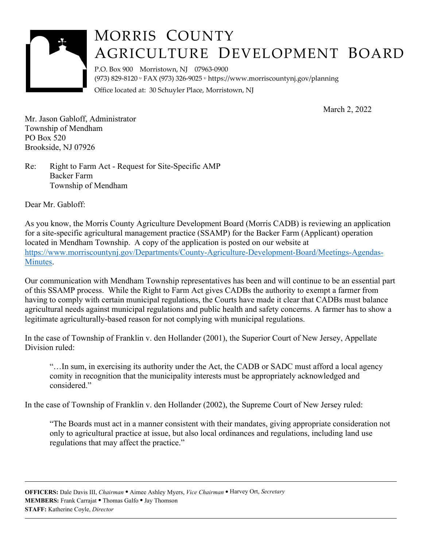

## MORRIS COUNTY AGRICULTURE DEVELOPMENT BOARD

 P.O. Box 900 Morristown, NJ 07963‐0900 (973) 829‐8120 FAX (973) 326‐9025 <https://www.morriscountynj.gov/planning> Office located at: 30 Schuyler Place, Morristown, NJ

March 2, 2022

Mr. Jason Gabloff, Administrator Township of Mendham PO Box 520 Brookside, NJ 07926

Re: Right to Farm Act - Request for Site-Specific AMP Backer Farm Township of Mendham

Dear Mr. Gabloff:

As you know, the Morris County Agriculture Development Board (Morris CADB) is reviewing an application for a site-specific agricultural management practice (SSAMP) for the Backer Farm (Applicant) operation located in Mendham Township. A copy of the application is posted on our website at <https://www.morriscountynj.gov/Departments/County-Agriculture-Development-Board/Meetings-Agendas>-Minutes.

Our communication with Mendham Township representatives has been and will continue to be an essential part of this SSAMP process. While the Right to Farm Act gives CADBs the authority to exempt a farmer from having to comply with certain municipal regulations, the Courts have made it clear that CADBs must balance agricultural needs against municipal regulations and public health and safety concerns. A farmer has to show a legitimate agriculturally-based reason for not complying with municipal regulations.

In the case of Township of Franklin v. den Hollander (2001), the Superior Court of New Jersey, Appellate Division ruled<sup>.</sup>

"…In sum, in exercising its authority under the Act, the CADB or SADC must afford a local agency comity in recognition that the municipality interests must be appropriately acknowledged and considered."

In the case of Township of Franklin v. den Hollander (2002), the Supreme Court of New Jersey ruled:

"The Boards must act in a manner consistent with their mandates, giving appropriate consideration not only to agricultural practice at issue, but also local ordinances and regulations, including land use regulations that may affect the practice."